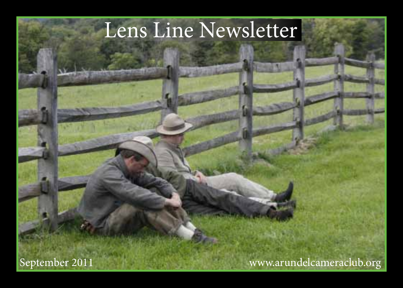# Lens Line Newsletter

<www.arundelcameraclub.org>

September 2011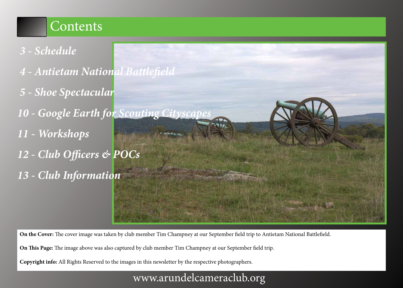### Contents

- *[3 Schedule](#page-2-0)*
- *[4 A](#page-3-0)ntietam National Battlefield*
- *5 Shoe Spectacular*
- 10 Google Earth for Scouting City
- *[11 Workshops](#page-10-0)*
- *12 [Club Officers & POCs](#page-11-0)*
- *[13 Club Information](#page-12-0)*

**On the Cover:** The cover image was taken by club member Tim Champney at our September field trip to Antietam National Battlefield.

**On This Page:** The image above was also captured by club member Tim Champney at our September field trip.

**Copyright info:** All Rights Reserved to the images in this newsletter by the respective photographers.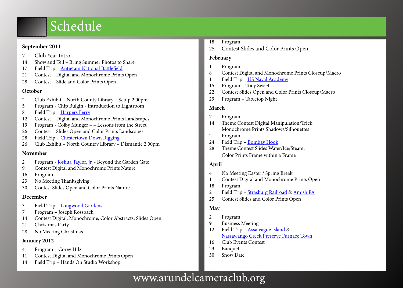# Schedule

#### <span id="page-2-0"></span>**September 2011**

- Club Year Intro
- Show and Tell Bring Summer Photos to Share
- 17 Field Trip [Antietam National Battlefield](http://www.nps.gov/ancm/index.htm)
- Contest Digital and Monochrome Prints Open
- Contest Slide and Color Prints Open

#### **October**

- Club Exhibit North County Library Setup 2:00pm
- Program Chip Bulgin Introduction to Lightroom
- Field Trip [Harpers Ferry](http://www.nps.gov/hafe/index.htm)
- Contest Digital and Monochrome Prints Landscapes
- Program Colby Munger – Lessons from the Street
- Contest Slides Open and Color Prints Landscapes
- Field Trip [Chestertown Down Rigging](http://sultanaprojects.org/downrigging/)
- Club Exhibit North Country Library Dismantle 2:00pm

#### **November**

- 2 Program [Joshua Taylor, Jr.](http://www.archiphotoworkshops.com/Archiphoto_Workshops/Home.html)  Beyond the Garden Gate
- Contest Digital and Monochrome Prints Nature
- Program
- No Meeting Thanksgiving
- Contest Slides Open and Color Prints Nature

### **December**

- Field Trip [Longwood Gardens](http://www.longwoodgardens.org/)
- Program Joseph Rossbach
- Contest Digital, Monochrome, Color Abstracts; Slides Open
- Christmas Party
- No Meeting Christmas

### **January 2012**

- Program Corey Hilz
- Contest Digital and Monochrome Prints Open
- Field Trip Hands On Studio Workshop
- Program
- Contest Slides and Color Prints Open

#### **February**

- Program
- Contest Digital and Monochrome Prints Closeup/Macro
- Field Trip [US Naval Academy](http://www.usna.edu/visit.htm)
- Program Tony Sweet
- Contest Slides Open and Color Prints Closeup/Macro
- Program Tabletop Night

### **March**

- Program
- Theme Contest Digital Manipulation/Trick Monochrome Prints Shadows/Silhouettes
- Program
- Field Trip [Bombay Hook](http://www.fws.gov/northeast/bombayhook/)
- Theme Contest Slides Water/Ice/Steam; Color Prints Frame within a Frame

### **April**

- No Meeting Easter / Spring Break
- Contest Digital and Monochrome Prints Open
- Program
- 21 Field Trip [Strasburg Railroad](http://www.strasburgrailroad.com/) & [Amish PA](http://www.padutchcountry.com/activities/amish-activities.asp)
- Contest Slides and Color Prints Open

### **May**

- Program
- Business Meeting
- 12 Field Trip **Assateague Island** & [Nassawango Creek Preserve Furnace Town](http://)
- Club Events Contest
- Banquet
- Snow Date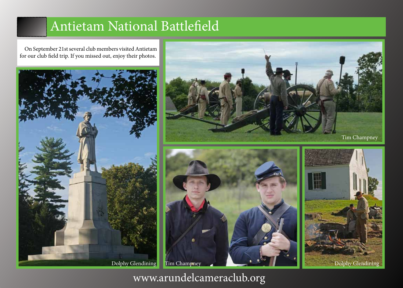## Antietam National Battlefield

<span id="page-3-0"></span>On September 21st several club members visited Antietam for our club field trip. If you missed out, enjoy their photos.







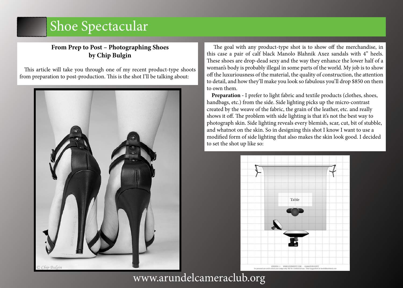### **From Prep to Post – Photographing Shoes by Chip Bulgin**

This article will take you through one of my recent product-type shoots from preparation to post-production. This is the shot I'll be talking about:



 The goal with any product-type shot is to show off the merchandise, in this case a pair of calf black Manolo Blahnik Axez sandals with 4" heels. These shoes are drop-dead sexy and the way they enhance the lower half of a woman's body is probably illegal in some parts of the world. My job is to show off the luxuriousness of the material, the quality of construction, the attention to detail, and how they'll make you look so fabulous you'll drop \$850 on them to own them.

**Preparation -** I prefer to light fabric and textile products (clothes, shoes, handbags, etc.) from the side. Side lighting picks up the micro-contrast created by the weave of the fabric, the grain of the leather, etc. and really shows it off. The problem with side lighting is that it's not the best way to photograph skin. Side lighting reveals every blemish, scar, cut, bit of stubble, and whatnot on the skin. So in designing this shot I know I want to use a modified form of side lighting that also makes the skin look good. I decided to set the shot up like so:

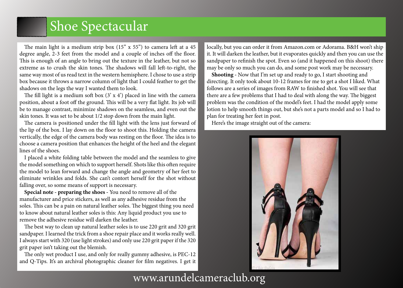The main light is a medium strip box (15" x 55") to camera left at a 45 degree angle, 2-3 feet from the model and a couple of inches off the floor. This is enough of an angle to bring out the texture in the leather, but not so extreme as to crush the skin tones. The shadows will fall left-to-right, the same way most of us read text in the western hemisphere. I chose to use a strip box because it throws a narrow column of light that I could feather to get the shadows on the legs the way I wanted them to look.

The fill light is a medium soft box  $(3 \times 4')$  placed in line with the camera position, about a foot off the ground. This will be a very flat light. Its job will be to manage contrast, minimize shadows on the seamless, and even out the skin tones. It was set to be about 1/2 stop down from the main light.

The camera is positioned under the fill light with the lens just forward of the lip of the box. I lay down on the floor to shoot this. Holding the camera vertically, the edge of the camera body was resting on the floor. The idea is to choose a camera position that enhances the height of the heel and the elegant lines of the shoes.

I placed a white folding table between the model and the seamless to give the model something on which to support herself. Shots like this often require the model to lean forward and change the angle and geometry of her feet to eliminate wrinkles and folds. She can't contort herself for the shot without falling over, so some means of support is necessary.

**Special note - preparing the shoes -** You need to remove all of the manufacturer and price stickers, as well as any adhesive residue from the soles. This can be a pain on natural leather soles. The biggest thing you need to know about natural leather soles is this: Any liquid product you use to remove the adhesive residue will darken the leather.

The best way to clean up natural leather soles is to use 220 grit and 320 grit sandpaper. I learned the trick from a shoe repair place and it works really well. I always start with 320 (use light strokes) and only use 220 grit paper if the 320 grit paper isn't taking out the blemish.

The only wet product I use, and only for really gummy adhesive, is PEC-12 and Q-Tips. It's an archival photographic cleaner for film negatives. I get it locally, but you can order it from <Amazon.com> or Adorama. B&H won't ship it. It will darken the leather, but it evaporates quickly and then you can use the sandpaper to refinish the spot. Even so (and it happened on this shoot) there may be only so much you can do, and some post work may be necessary.

**Shooting -** Now that I'm set up and ready to go, I start shooting and directing. It only took about 10-12 frames for me to get a shot I liked. What follows are a series of images from RAW to finished shot. You will see that there are a few problems that I had to deal with along the way. The biggest problem was the condition of the model's feet. I had the model apply some lotion to help smooth things out, but she's not a parts model and so I had to plan for treating her feet in post.

Here's the image straight out of the camera:

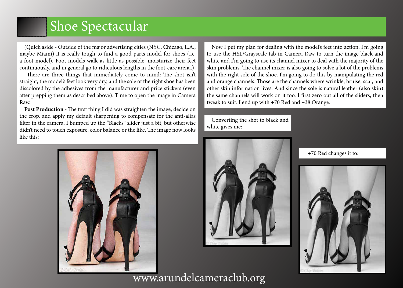(Quick aside - Outside of the major advertising cities (NYC, Chicago, L.A., maybe Miami) it is really tough to find a good parts model for shoes (i.e. a foot model). Foot models walk as little as possible, moisturize their feet continuously, and in general go to ridiculous lengths in the foot-care arena.)

 There are three things that immediately come to mind: The shot isn't straight, the model's feet look very dry, and the sole of the right shoe has been discolored by the adhesives from the manufacturer and price stickers (even after prepping them as described above). Time to open the image in Camera Raw.

**Post Production -** The first thing I did was straighten the image, decide on the crop, and apply my default sharpening to compensate for the anti-alias filter in the camera. I bumped up the "Blacks" slider just a bit, but otherwise didn't need to touch exposure, color balance or the like. The image now looks like this:

Now I put my plan for dealing with the model's feet into action. I'm going to use the HSL/Grayscale tab in Camera Raw to turn the image black and white and I'm going to use its channel mixer to deal with the majority of the skin problems. The channel mixer is also going to solve a lot of the problems with the right sole of the shoe. I'm going to do this by manipulating the red and orange channels. Those are the channels where wrinkle, bruise, scar, and other skin information lives. And since the sole is natural leather (also skin) the same channels will work on it too. I first zero out all of the sliders, then tweak to suit. I end up with +70 Red and +38 Orange.

Converting the shot to black and white gives me:





+70 Red changes it to:

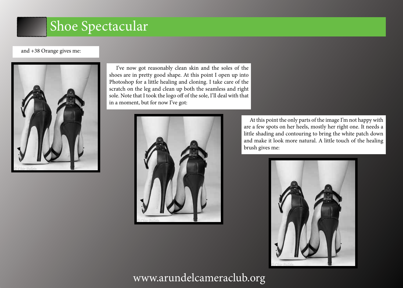#### and +38 Orange gives me:



 I've now got reasonably clean skin and the soles of the shoes are in pretty good shape. At this point I open up into Photoshop for a little healing and cloning. I take care of the scratch on the leg and clean up both the seamless and right sole. Note that I took the logo off of the sole, I'll deal with that in a moment, but for now I've got:



 At this point the only parts of the image I'm not happy with are a few spots on her heels, mostly her right one. It needs a little shading and contouring to bring the white patch down and make it look more natural. A little touch of the healing brush gives me:

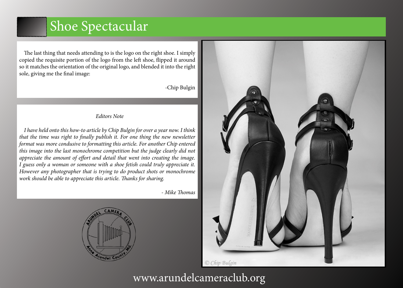The last thing that needs attending to is the logo on the right shoe. I simply copied the requisite portion of the logo from the left shoe, flipped it around so it matches the orientation of the original logo, and blended it into the right sole, giving me the final image:

-Chip Bulgin

#### *Editors Note*

*I have held onto this how-to article by Chip Bulgin for over a year now. I think that the time was right to finally publish it. For one thing the new newsletter format was more condusive to formatting this article. For another Chip entered this image into the last monochrome competition but the judge clearly did not appreciate the amount of effort and detail that went into creating the image. I guess only a woman or someone with a shoe fetish could truly appreciate it. However any photographer that is trying to do product shots or monochrome work should be able to appreciate this article. Thanks for sharing.*

*- Mike Thomas*



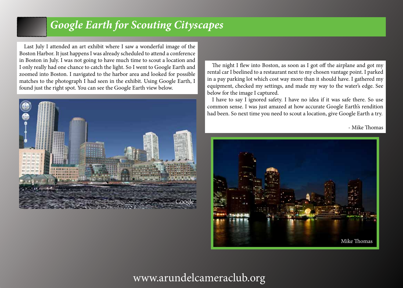### *Google Earth for Scouting Cityscapes*

Last July I attended an art exhibit where I saw a wonderful image of the Boston Harbor. It just happens I was already scheduled to attend a conference in Boston in July. I was not going to have much time to scout a location and I only really had one chance to catch the light. So I went to Google Earth and zoomed into Boston. I navigated to the harbor area and looked for possible matches to the photograph I had seen in the exhibit. Using Google Earth, I found just the right spot. You can see the Google Earth view below.



#### The night I flew into Boston, as soon as I got off the airplane and got my rental car I beelined to a restaurant next to my chosen vantage point. I parked in a pay parking lot which cost way more than it should have. I gathered my equipment, checked my settings, and made my way to the water's edge. See below for the image I captured.

I have to say I ignored safety. I have no idea if it was safe there. So use common sense. I was just amazed at how accurate Google Earth's rendition had been. So next time you need to scout a location, give Google Earth a try.

- Mike Thomas

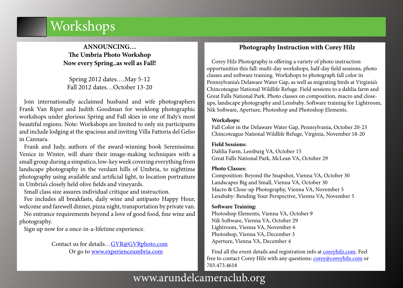# <span id="page-10-0"></span>Workshops

### **ANNOUNCING… The Umbria Photo Workshop Now every Spring..as well as Fall!**

Spring 2012 dates….May 5-12 Fall 2012 dates…October 13-20

Join internationally acclaimed husband and wife photographers Frank Van Riper and Judith Goodman for weeklong photographic workshops under glorious Spring and Fall skies in one of Italy's most beautiful regions. Note: Workshops are limited to only six participants and include lodging at the spacious and inviting Villa Fattoria del Gelso in Cannara.

Frank and Judy, authors of the award-winning book Serenissima: Venice in Winter, will share their image-making techniques with a small group during a simpatico, low-key week covering everything from landscape photography in the verdant hills of Umbria, to nighttime photography using available and artificial light, to location portraiture in Umbria's closely held olive fields and vineyards.

Small class size assures individual critique and instruction.

Fee includes all breakfasts, daily wine and antipasto Happy Hour, welcome and farewell dinner, pizza night, transportation by private van.

No entrance requirements beyond a love of good food, fine wine and photography.

Sign up now for a once-in-a-lifetime experience.

Contact us for details[…GVR@GVRphoto.com](mailto:GVR%40GVRphoto.com?subject=Umbria%20Photo%20Workshop) Or go to [www.experienceumbria.com](http://www.experienceumbria.com)

### **Photography Instruction with Corey Hilz**

Corey Hilz Photography is offering a variety of photo instruction opportunities this fall: multi-day workshops, half-day field sessions, photo classes and software training. Workshops to photograph fall color in Pennsylvania's Delaware Water Gap, as well as migrating birds at Virginia's Chincoteague National Wildlife Refuge. Field sessions to a dahlia farm and Great Falls National Park. Photo classes on composition, macro and closeups, landscape photography and Lensbaby. Software training for Lightroom, Nik Software, Aperture, Photoshop and Photoshop Elements.

#### **Workshops:**

Fall Color in the Delaware Water Gap, Pennsylvania, October 20-23 Chincoteague National Wildlife Refuge, Virginia, November 18-20

#### **Field Sessions:**

Great Falls National Park, McLean VA, October 29 Dahlia Farm, Leesburg VA, October 15

#### **Photo Classes:**

Composition: Beyond the Snapshot, Vienna VA, October 30 Landscapes Big and Small, Vienna VA, October 30 Macro & Close-up Photography, Vienna VA, November 5 Lensbaby: Bending Your Perspective, Vienna VA, November 5

#### **Software Training:**

Photoshop Elements, Vienna VA, October 9 Nik Software, Vienna VA, October 29 Lightroom, Vienna VA, November 6 Photoshop, Vienna VA, December 3 Aperture, Vienna VA, December 4

Find all the event details and registration info at [coreyhilz.com](http://coreyhilz.com). Feel free to contact Corey Hilz with any questions: [corey@coreyhilz.com](mailto:corey%40coreyhilz.com?subject=Photography%20Instruction%20) or 703.473.4618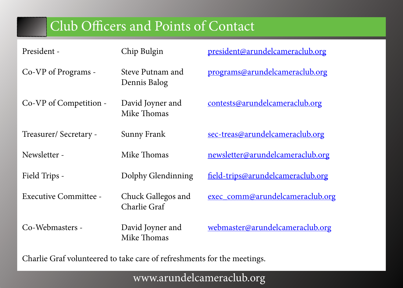# Club Officers and Points of Contact

<span id="page-11-0"></span>

| President -            | Chip Bulgin                        | <u>president@arundelcameraclub.org</u> |
|------------------------|------------------------------------|----------------------------------------|
| Co-VP of Programs -    | Steve Putnam and<br>Dennis Balog   | programs@arundelcameraclub.org         |
| Co-VP of Competition - | David Joyner and<br>Mike Thomas    | <u>contests@arundelcameraclub.org</u>  |
| Treasurer/Secretary -  | <b>Sunny Frank</b>                 | sec-treas@arundelcameraclub.org        |
| Newsletter -           | Mike Thomas                        | newsletter@arundelcameraclub.org       |
| Field Trips -          | Dolphy Glendinning                 | field-trips@arundelcameraclub.org      |
| Executive Committee -  | Chuck Gallegos and<br>Charlie Graf | exec comm@arundelcameraclub.org        |
| Co-Webmasters -        | David Joyner and<br>Mike Thomas    | <u>webmaster@arundelcameraclub.org</u> |

Charlie Graf volunteered to take care of refreshments for the meetings.